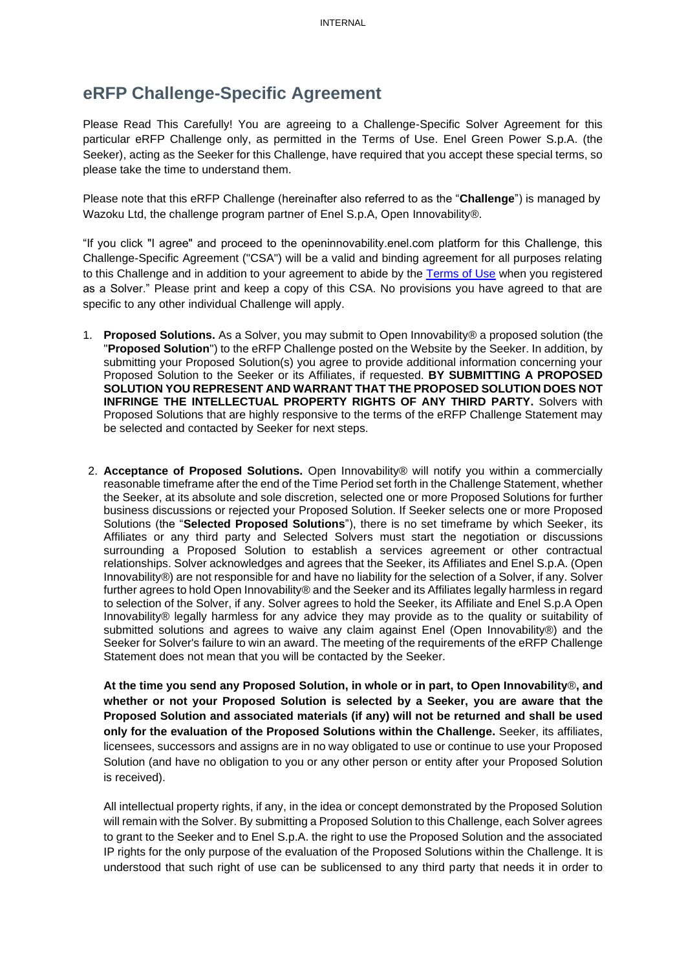## **eRFP Challenge-Specific Agreement**

Please Read This Carefully! You are agreeing to a Challenge-Specific Solver Agreement for this particular eRFP Challenge only, as permitted in the Terms of Use. Enel Green Power S.p.A. (the Seeker), acting as the Seeker for this Challenge, have required that you accept these special terms, so please take the time to understand them.

Please note that this eRFP Challenge (hereinafter also referred to as the "**Challenge**") is managed by Wazoku Ltd, the challenge program partner of Enel S.p.A, Open Innovability®.

"If you click "I agree" and proceed to the openinnovability.enel.com platform for this Challenge, this Challenge-Specific Agreement ("CSA") will be a valid and binding agreement for all purposes relating to this Challenge and in addition to your agreement to abide by the [Terms of Use](https://openinnovability.enel.com/ENEL_VFP_TermsOfUse) when you registered as a Solver." Please print and keep a copy of this CSA. No provisions you have agreed to that are specific to any other individual Challenge will apply.

- 1. **Proposed Solutions.** As a Solver, you may submit to Open Innovability® a proposed solution (the "**Proposed Solution**") to the eRFP Challenge posted on the Website by the Seeker. In addition, by submitting your Proposed Solution(s) you agree to provide additional information concerning your Proposed Solution to the Seeker or its Affiliates, if requested. **BY SUBMITTING A PROPOSED SOLUTION YOU REPRESENT AND WARRANT THAT THE PROPOSED SOLUTION DOES NOT INFRINGE THE INTELLECTUAL PROPERTY RIGHTS OF ANY THIRD PARTY.** Solvers with Proposed Solutions that are highly responsive to the terms of the eRFP Challenge Statement may be selected and contacted by Seeker for next steps.
- 2. **Acceptance of Proposed Solutions.** Open Innovability® will notify you within a commercially reasonable timeframe after the end of the Time Period set forth in the Challenge Statement, whether the Seeker, at its absolute and sole discretion, selected one or more Proposed Solutions for further business discussions or rejected your Proposed Solution. If Seeker selects one or more Proposed Solutions (the "**Selected Proposed Solutions**"), there is no set timeframe by which Seeker, its Affiliates or any third party and Selected Solvers must start the negotiation or discussions surrounding a Proposed Solution to establish a services agreement or other contractual relationships. Solver acknowledges and agrees that the Seeker, its Affiliates and Enel S.p.A. (Open Innovability®) are not responsible for and have no liability for the selection of a Solver, if any. Solver further agrees to hold Open Innovability® and the Seeker and its Affiliates legally harmless in regard to selection of the Solver, if any. Solver agrees to hold the Seeker, its Affiliate and Enel S.p.A Open Innovability® legally harmless for any advice they may provide as to the quality or suitability of submitted solutions and agrees to waive any claim against Enel (Open Innovability®) and the Seeker for Solver's failure to win an award. The meeting of the requirements of the eRFP Challenge Statement does not mean that you will be contacted by the Seeker.

**At the time you send any Proposed Solution, in whole or in part, to Open Innovability**®**, and whether or not your Proposed Solution is selected by a Seeker, you are aware that the Proposed Solution and associated materials (if any) will not be returned and shall be used only for the evaluation of the Proposed Solutions within the Challenge.** Seeker, its affiliates, licensees, successors and assigns are in no way obligated to use or continue to use your Proposed Solution (and have no obligation to you or any other person or entity after your Proposed Solution is received).

All intellectual property rights, if any, in the idea or concept demonstrated by the Proposed Solution will remain with the Solver. By submitting a Proposed Solution to this Challenge, each Solver agrees to grant to the Seeker and to Enel S.p.A. the right to use the Proposed Solution and the associated IP rights for the only purpose of the evaluation of the Proposed Solutions within the Challenge. It is understood that such right of use can be sublicensed to any third party that needs it in order to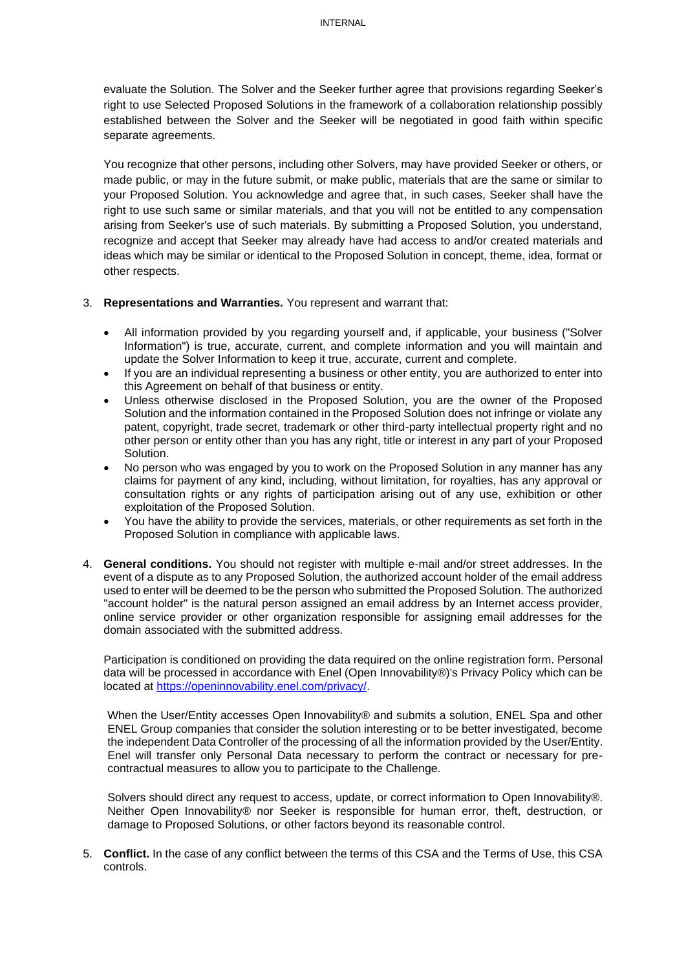evaluate the Solution. The Solver and the Seeker further agree that provisions regarding Seeker's right to use Selected Proposed Solutions in the framework of a collaboration relationship possibly established between the Solver and the Seeker will be negotiated in good faith within specific separate agreements.

You recognize that other persons, including other Solvers, may have provided Seeker or others, or made public, or may in the future submit, or make public, materials that are the same or similar to your Proposed Solution. You acknowledge and agree that, in such cases, Seeker shall have the right to use such same or similar materials, and that you will not be entitled to any compensation arising from Seeker's use of such materials. By submitting a Proposed Solution, you understand, recognize and accept that Seeker may already have had access to and/or created materials and ideas which may be similar or identical to the Proposed Solution in concept, theme, idea, format or other respects.

## 3. **Representations and Warranties.** You represent and warrant that:

- All information provided by you regarding yourself and, if applicable, your business ("Solver Information") is true, accurate, current, and complete information and you will maintain and update the Solver Information to keep it true, accurate, current and complete.
- If you are an individual representing a business or other entity, you are authorized to enter into this Agreement on behalf of that business or entity.
- Unless otherwise disclosed in the Proposed Solution, you are the owner of the Proposed Solution and the information contained in the Proposed Solution does not infringe or violate any patent, copyright, trade secret, trademark or other third-party intellectual property right and no other person or entity other than you has any right, title or interest in any part of your Proposed Solution.
- No person who was engaged by you to work on the Proposed Solution in any manner has any claims for payment of any kind, including, without limitation, for royalties, has any approval or consultation rights or any rights of participation arising out of any use, exhibition or other exploitation of the Proposed Solution.
- You have the ability to provide the services, materials, or other requirements as set forth in the Proposed Solution in compliance with applicable laws.
- 4. **General conditions.** You should not register with multiple e-mail and/or street addresses. In the event of a dispute as to any Proposed Solution, the authorized account holder of the email address used to enter will be deemed to be the person who submitted the Proposed Solution. The authorized "account holder" is the natural person assigned an email address by an Internet access provider, online service provider or other organization responsible for assigning email addresses for the domain associated with the submitted address.

Participation is conditioned on providing the data required on the online registration form. Personal data will be processed in accordance with Enel (Open Innovability®)'s Privacy Policy which can be located at [https://openinnovability.enel.com/privacy/.](https://openinnovability.enel.com/privacy/)

When the User/Entity accesses Open Innovability® and submits a solution, ENEL Spa and other ENEL Group companies that consider the solution interesting or to be better investigated, become the independent Data Controller of the processing of all the information provided by the User/Entity. Enel will transfer only Personal Data necessary to perform the contract or necessary for precontractual measures to allow you to participate to the Challenge.

Solvers should direct any request to access, update, or correct information to Open Innovability®. Neither Open Innovability® nor Seeker is responsible for human error, theft, destruction, or damage to Proposed Solutions, or other factors beyond its reasonable control.

5. **Conflict.** In the case of any conflict between the terms of this CSA and the Terms of Use, this CSA controls.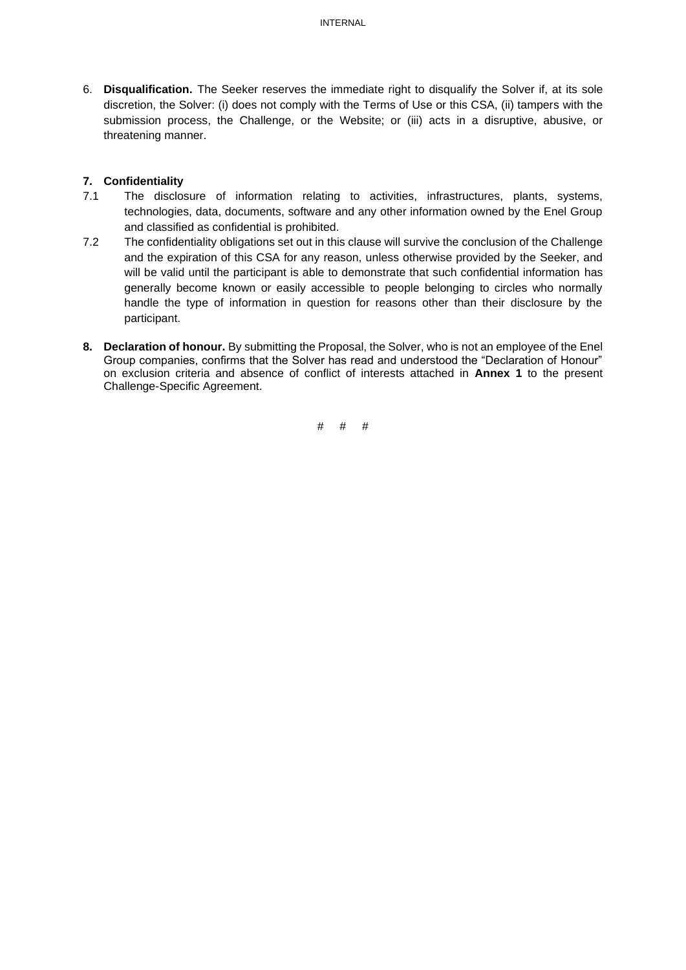6. **Disqualification.** The Seeker reserves the immediate right to disqualify the Solver if, at its sole discretion, the Solver: (i) does not comply with the Terms of Use or this CSA, (ii) tampers with the submission process, the Challenge, or the Website; or (iii) acts in a disruptive, abusive, or threatening manner.

## **7. Confidentiality**

- 7.1 The disclosure of information relating to activities, infrastructures, plants, systems, technologies, data, documents, software and any other information owned by the Enel Group and classified as confidential is prohibited.
- 7.2 The confidentiality obligations set out in this clause will survive the conclusion of the Challenge and the expiration of this CSA for any reason, unless otherwise provided by the Seeker, and will be valid until the participant is able to demonstrate that such confidential information has generally become known or easily accessible to people belonging to circles who normally handle the type of information in question for reasons other than their disclosure by the participant.
- **8. Declaration of honour.** By submitting the Proposal, the Solver, who is not an employee of the Enel Group companies, confirms that the Solver has read and understood the "Declaration of Honour" on exclusion criteria and absence of conflict of interests attached in **Annex 1** to the present Challenge-Specific Agreement.

# # #